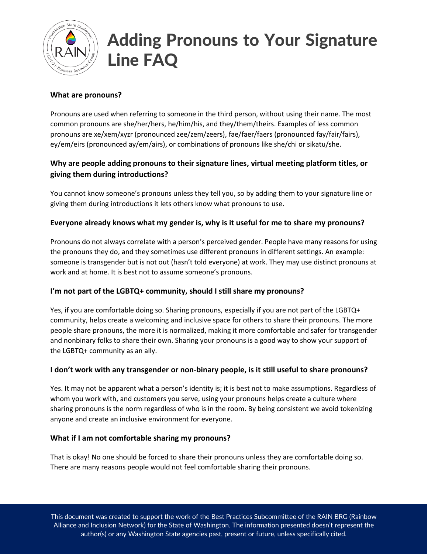

# Adding Pronouns to Your Signature Line FAQ

## **What are pronouns?**

Pronouns are used when referring to someone in the third person, without using their name. The most common pronouns are she/her/hers, he/him/his, and they/them/theirs. Examples of less common pronouns are xe/xem/xyzr (pronounced zee/zem/zeers), fae/faer/faers (pronounced fay/fair/fairs), ey/em/eirs (pronounced ay/em/airs), or combinations of pronouns like she/chi or sikatu/she.

## **Why are people adding pronouns to their signature lines, virtual meeting platform titles, or giving them during introductions?**

You cannot know someone's pronouns unless they tell you, so by adding them to your signature line or giving them during introductions it lets others know what pronouns to use.

## **Everyone already knows what my gender is, why is it useful for me to share my pronouns?**

Pronouns do not always correlate with a person's perceived gender. People have many reasons for using the pronouns they do, and they sometimes use different pronouns in different settings. An example: someone is transgender but is not out (hasn't told everyone) at work. They may use distinct pronouns at work and at home. It is best not to assume someone's pronouns.

## **I'm not part of the LGBTQ+ community, should I still share my pronouns?**

Yes, if you are comfortable doing so. Sharing pronouns, especially if you are not part of the LGBTQ+ community, helps create a welcoming and inclusive space for others to share their pronouns. The more people share pronouns, the more it is normalized, making it more comfortable and safer for transgender and nonbinary folks to share their own. Sharing your pronouns is a good way to show your support of the LGBTQ+ community as an ally.

## **I don't work with any transgender or non-binary people, is it still useful to share pronouns?**

Yes. It may not be apparent what a person's identity is; it is best not to make assumptions. Regardless of whom you work with, and customers you serve, using your pronouns helps create a culture where sharing pronouns is the norm regardless of who is in the room. By being consistent we avoid tokenizing anyone and create an inclusive environment for everyone.

## **What if I am not comfortable sharing my pronouns?**

That is okay! No one should be forced to share their pronouns unless they are comfortable doing so. There are many reasons people would not feel comfortable sharing their pronouns.

This document was created to support the work of the Best Practices Subcommittee of the RAIN BRG (Rainbow Alliance and Inclusion Network) for the State of Washington. The information presented doesn't represent the author(s) or any Washington State agencies past, present or future, unless specifically cited.